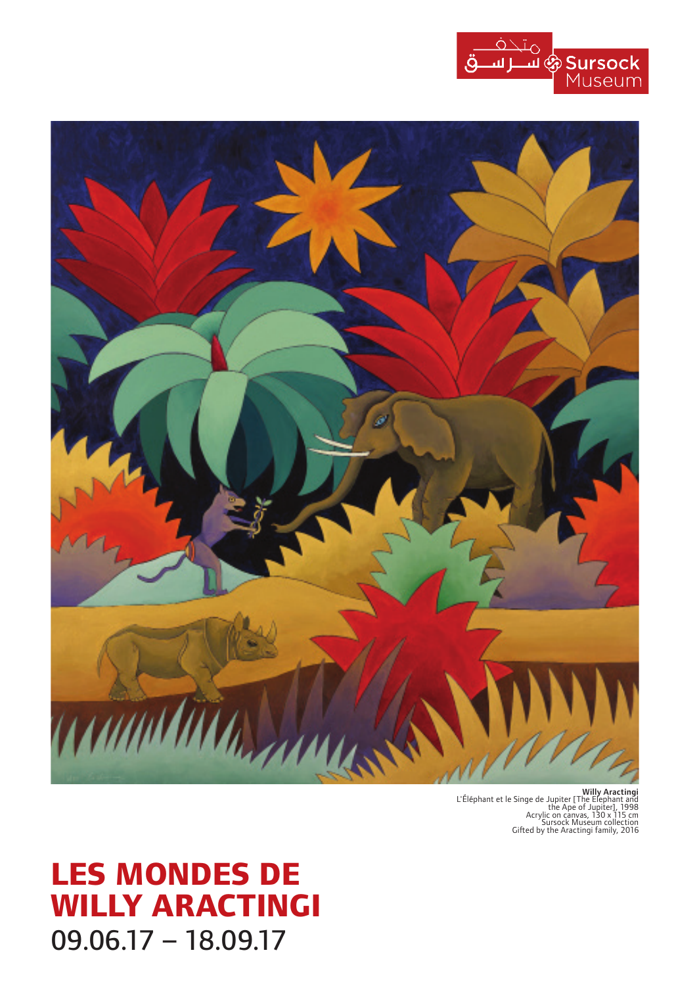



Willy Aractingi<br>
L'Éléphant et le Singe de Jupiter [The Elephant and<br>
the Ape of Jupiter], 1998<br>
Acrylic on canvas, 130 x 115 cm<br>
Sursock Museum collection<br>
Sursock Museum collection<br>
Cifted by the Aractingi family, 2016

# **LES MONDES DE WILLY ARACTINGI** 09.06.17 – 18.09.17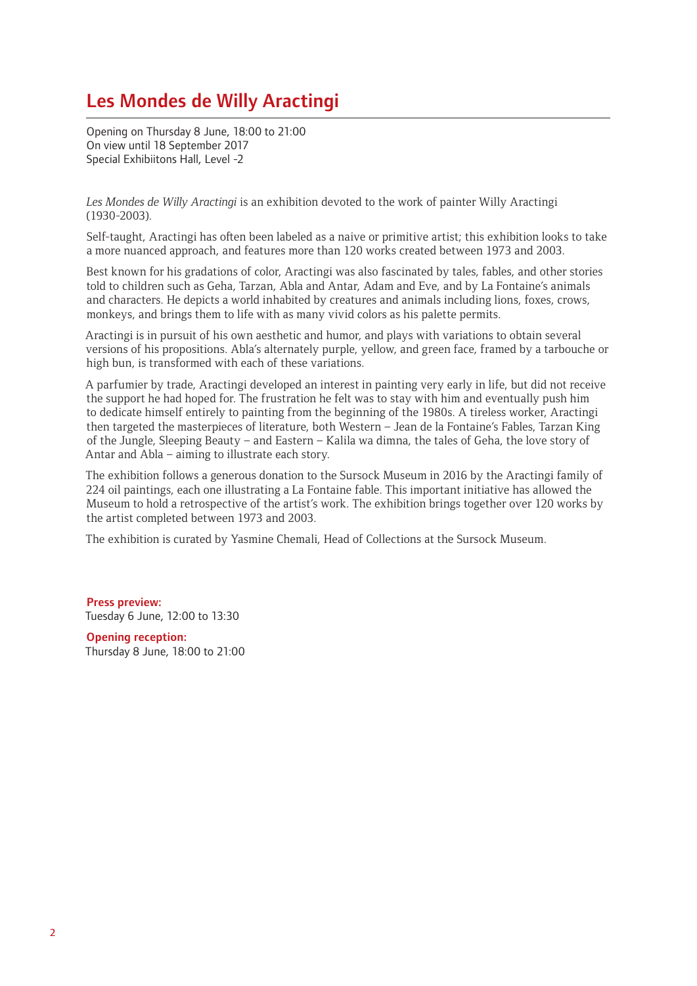# Les Mondes de Willy Aractingi

Opening on Thursday 8 June, 18:00 to 21:00 On view until 18 September 2017 Special Exhibiitons Hall, Level -2

*Les Mondes de Willy Aractingi* is an exhibition devoted to the work of painter Willy Aractingi (1930-2003).

Self-taught, Aractingi has often been labeled as a naive or primitive artist; this exhibition looks to take a more nuanced approach, and features more than 120 works created between 1973 and 2003.

Best known for his gradations of color, Aractingi was also fascinated by tales, fables, and other stories told to children such as Geha, Tarzan, Abla and Antar, Adam and Eve, and by La Fontaine's animals and characters. He depicts a world inhabited by creatures and animals including lions, foxes, crows, monkeys, and brings them to life with as many vivid colors as his palette permits.

Aractingi is in pursuit of his own aesthetic and humor, and plays with variations to obtain several versions of his propositions. Abla's alternately purple, yellow, and green face, framed by a tarbouche or high bun, is transformed with each of these variations.

A parfumier by trade, Aractingi developed an interest in painting very early in life, but did not receive the support he had hoped for. The frustration he felt was to stay with him and eventually push him to dedicate himself entirely to painting from the beginning of the 1980s. A tireless worker, Aractingi then targeted the masterpieces of literature, both Western – Jean de la Fontaine's Fables, Tarzan King of the Jungle, Sleeping Beauty – and Eastern – Kalila wa dimna, the tales of Geha, the love story of Antar and Abla – aiming to illustrate each story.

The exhibition follows a generous donation to the Sursock Museum in 2016 by the Aractingi family of 224 oil paintings, each one illustrating a La Fontaine fable. This important initiative has allowed the Museum to hold a retrospective of the artist's work. The exhibition brings together over 120 works by the artist completed between 1973 and 2003.

The exhibition is curated by Yasmine Chemali, Head of Collections at the Sursock Museum.

Press preview: Tuesday 6 June, 12:00 to 13:30

Opening reception: Thursday 8 June, 18:00 to 21:00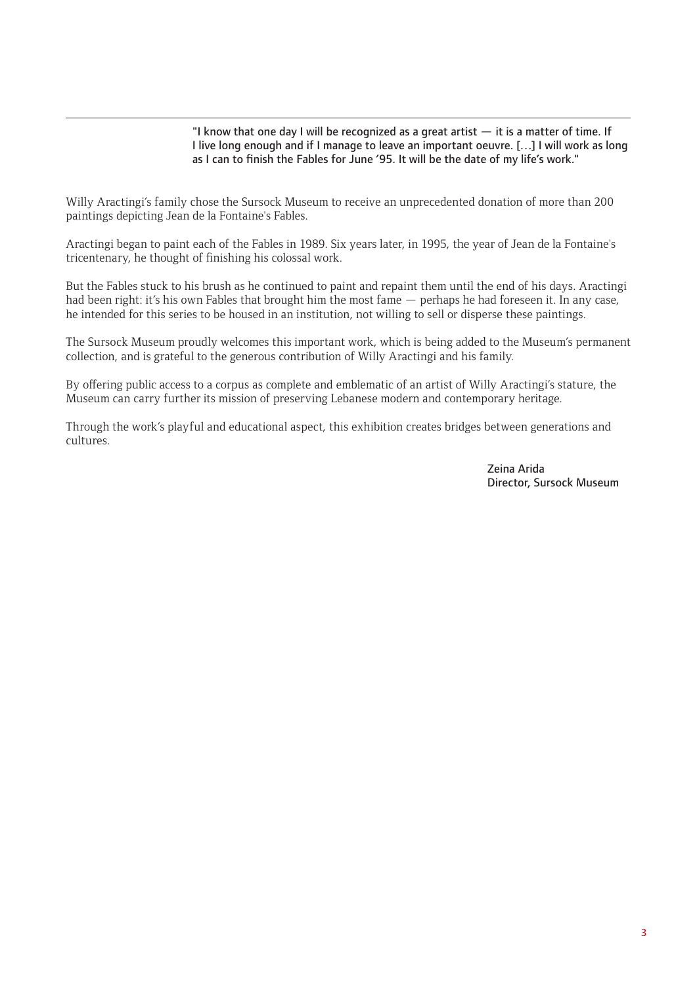"I know that one day I will be recognized as a great artist  $-$  it is a matter of time. If I live long enough and if I manage to leave an important oeuvre. […] I will work as long as I can to finish the Fables for June '95. It will be the date of my life's work."

Willy Aractingi's family chose the Sursock Museum to receive an unprecedented donation of more than 200 paintings depicting Jean de la Fontaine's Fables.

Aractingi began to paint each of the Fables in 1989. Six years later, in 1995, the year of Jean de la Fontaine's tricentenary, he thought of finishing his colossal work.

But the Fables stuck to his brush as he continued to paint and repaint them until the end of his days. Aractingi had been right: it's his own Fables that brought him the most fame — perhaps he had foreseen it. In any case, he intended for this series to be housed in an institution, not willing to sell or disperse these paintings.

The Sursock Museum proudly welcomes this important work, which is being added to the Museum's permanent collection, and is grateful to the generous contribution of Willy Aractingi and his family.

By offering public access to a corpus as complete and emblematic of an artist of Willy Aractingi's stature, the Museum can carry further its mission of preserving Lebanese modern and contemporary heritage.

Through the work's playful and educational aspect, this exhibition creates bridges between generations and cultures.

 Zeina Arida Director, Sursock Museum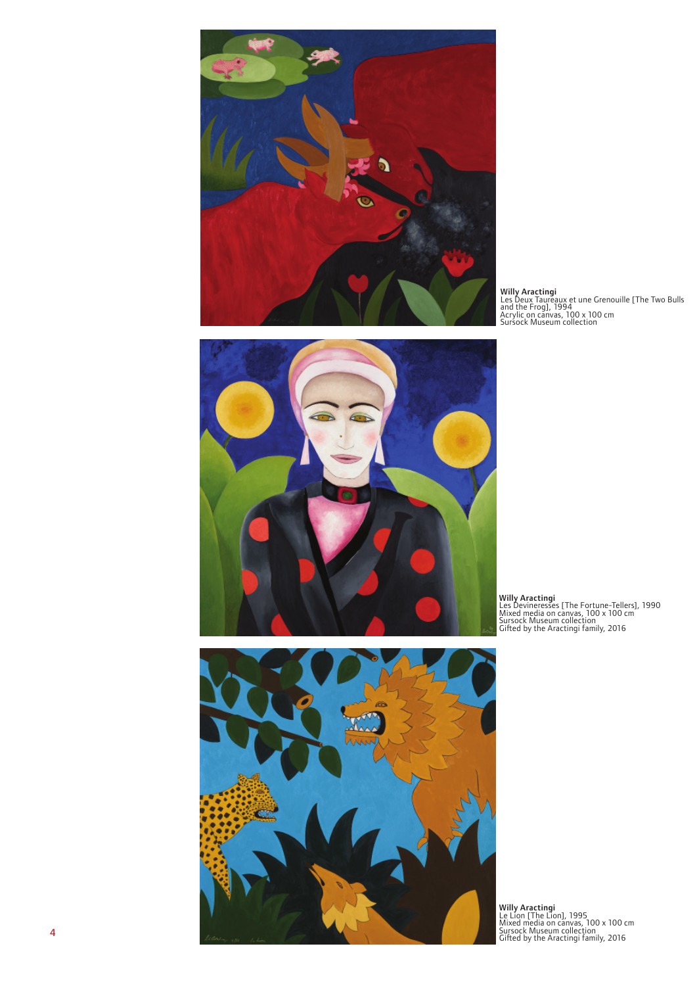

Willy Aractingi<br>Les Deux Taureaux et une Grenouille [The Two Bulls<br>and the Frog], 1994<br>Acrylic on canvas, 100 x 100 cm<br>Sursock Museum collection





Willy Aractingi Les Devineresses [The Fortune-Tellers], 1990 Mixed media on canvas, 100 x 100 cm Sursock Museum collection Gifted by the Aractingi family, 2016

Willy Aractingi Le Lion [The Lion], 1995 Mixed media on canvas, 100 x 100 cm Sursock Museum collection Gifted by the Aractingi family, 2016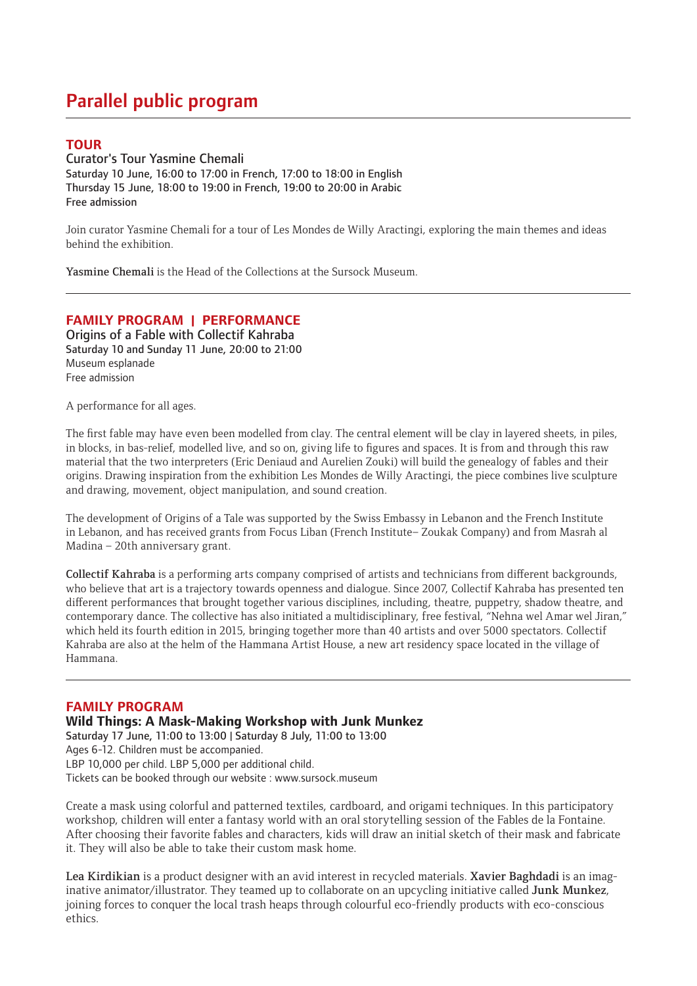# Parallel public program

### **TOUR**

Curator's Tour Yasmine Chemali Saturday 10 June, 16:00 to 17:00 in French, 17:00 to 18:00 in English Thursday 15 June, 18:00 to 19:00 in French, 19:00 to 20:00 in Arabic Free admission

Join curator Yasmine Chemali for a tour of Les Mondes de Willy Aractingi, exploring the main themes and ideas behind the exhibition.

Yasmine Chemali is the Head of the Collections at the Sursock Museum.

### **FAMILY PROGRAM | PERFORMANCE**

Origins of a Fable with Collectif Kahraba Saturday 10 and Sunday 11 June, 20:00 to 21:00 Museum esplanade Free admission

A performance for all ages.

The first fable may have even been modelled from clay. The central element will be clay in layered sheets, in piles, in blocks, in bas-relief, modelled live, and so on, giving life to figures and spaces. It is from and through this raw material that the two interpreters (Eric Deniaud and Aurelien Zouki) will build the genealogy of fables and their origins. Drawing inspiration from the exhibition Les Mondes de Willy Aractingi, the piece combines live sculpture and drawing, movement, object manipulation, and sound creation.

The development of Origins of a Tale was supported by the Swiss Embassy in Lebanon and the French Institute in Lebanon, and has received grants from Focus Liban (French Institute– Zoukak Company) and from Masrah al Madina – 20th anniversary grant.

Collectif Kahraba is a performing arts company comprised of artists and technicians from different backgrounds, who believe that art is a trajectory towards openness and dialogue. Since 2007, Collectif Kahraba has presented ten different performances that brought together various disciplines, including, theatre, puppetry, shadow theatre, and contemporary dance. The collective has also initiated a multidisciplinary, free festival, "Nehna wel Amar wel Jiran," which held its fourth edition in 2015, bringing together more than 40 artists and over 5000 spectators. Collectif Kahraba are also at the helm of the Hammana Artist House, a new art residency space located in the village of Hammana.

### **FAMILY PROGRAM**

#### **Wild Things: A Mask-Making Workshop with Junk Munkez**

Saturday 17 June, 11:00 to 13:00 | Saturday 8 July, 11:00 to 13:00

Ages 6-12. Children must be accompanied.

LBP 10,000 per child. LBP 5,000 per additional child.

Tickets can be booked through our website : www.sursock.museum

Create a mask using colorful and patterned textiles, cardboard, and origami techniques. In this participatory workshop, children will enter a fantasy world with an oral storytelling session of the Fables de la Fontaine. After choosing their favorite fables and characters, kids will draw an initial sketch of their mask and fabricate it. They will also be able to take their custom mask home.

Lea Kirdikian is a product designer with an avid interest in recycled materials. Xavier Baghdadi is an imaginative animator/illustrator. They teamed up to collaborate on an upcycling initiative called Junk Munkez, joining forces to conquer the local trash heaps through colourful eco-friendly products with eco-conscious ethics.